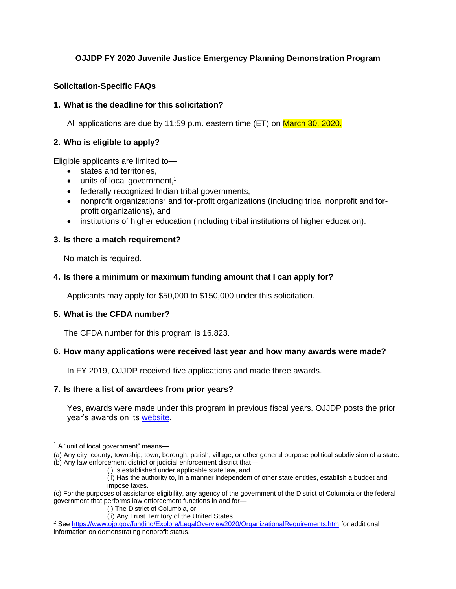# **OJJDP FY 2020 Juvenile Justice Emergency Planning Demonstration Program**

### **Solicitation-Specific FAQs**

#### **1. What is the deadline for this solicitation?**

All applications are due by 11:59 p.m. eastern time (ET) on March 30, 2020.

#### **2. Who is eligible to apply?**

Eligible applicants are limited to—

- states and territories,
- $\bullet$  units of local government,<sup>1</sup>
- federally recognized Indian tribal governments,
- nonprofit organizations<sup>2</sup> and for-profit organizations (including tribal nonprofit and forprofit organizations), and
- institutions of higher education (including tribal institutions of higher education).

#### **3. Is there a match requirement?**

No match is required.

#### **4. Is there a minimum or maximum funding amount that I can apply for?**

Applicants may apply for \$50,000 to \$150,000 under this solicitation.

### **5. What is the CFDA number?**

The CFDA number for this program is 16.823.

### **6. How many applications were received last year and how many awards were made?**

In FY 2019, OJJDP received five applications and made three awards.

#### **7. Is there a list of awardees from prior years?**

Yes, awards were made under this program in previous fiscal years. OJJDP posts the prior year's awards on its [website.](https://www.ojjdp.gov/funding)

 $1$  A "unit of local government" means-

<sup>(</sup>a) Any city, county, township, town, borough, parish, village, or other general purpose political subdivision of a state. (b) Any law enforcement district or judicial enforcement district that—

<sup>(</sup>i) Is established under applicable state law, and

<sup>(</sup>ii) Has the authority to, in a manner independent of other state entities, establish a budget and impose taxes.

<sup>(</sup>c) For the purposes of assistance eligibility, any agency of the government of the District of Columbia or the federal government that performs law enforcement functions in and for—

<sup>(</sup>i) The District of Columbia, or

<sup>(</sup>ii) Any Trust Territory of the United States.

<sup>2</sup> See<https://www.ojp.gov/funding/Explore/LegalOverview2020/OrganizationalRequirements.htm> for additional information on demonstrating nonprofit status.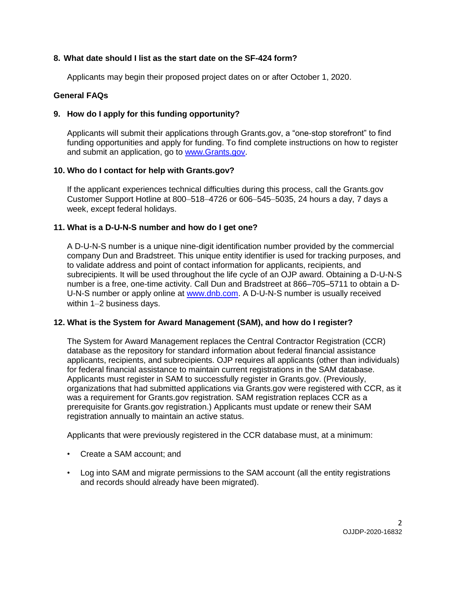# **8. What date should I list as the start date on the SF-424 form?**

Applicants may begin their proposed project dates on or after October 1, 2020.

# **General FAQs**

# **9. How do I apply for this funding opportunity?**

Applicants will submit their applications through Grants.gov, a "one-stop storefront" to find funding opportunities and apply for funding. To find complete instructions on how to register and submit an application, go to [www.Grants.gov.](http://www.grants.gov/)

# **10. Who do I contact for help with Grants.gov?**

If the applicant experiences technical difficulties during this process, call the Grants.gov Customer Support Hotline at 800–518–4726 or 606–545–5035, 24 hours a day, 7 days a week, except federal holidays.

# **11. What is a D-U-N-S number and how do I get one?**

A D-U-N-S number is a unique nine-digit identification number provided by the commercial company Dun and Bradstreet. This unique entity identifier is used for tracking purposes, and to validate address and point of contact information for applicants, recipients, and subrecipients. It will be used throughout the life cycle of an OJP award. Obtaining a D-U-N-S number is a free, one-time activity. Call Dun and Bradstreet at 866–705–5711 to obtain a D-U-N-S number or apply online at [www.dnb.com.](http://www.dnb.com/) A D-U-N-S number is usually received within 1–2 business days.

# **12. What is the System for Award Management (SAM), and how do I register?**

The System for Award Management replaces the Central Contractor Registration (CCR) database as the repository for standard information about federal financial assistance applicants, recipients, and subrecipients. OJP requires all applicants (other than individuals) for federal financial assistance to maintain current registrations in the SAM database. Applicants must register in SAM to successfully register in Grants.gov. (Previously, organizations that had submitted applications via Grants.gov were registered with CCR, as it was a requirement for Grants.gov registration. SAM registration replaces CCR as a prerequisite for Grants.gov registration.) Applicants must update or renew their SAM registration annually to maintain an active status.

Applicants that were previously registered in the CCR database must, at a minimum:

- Create a SAM account; and
- Log into SAM and migrate permissions to the SAM account (all the entity registrations and records should already have been migrated).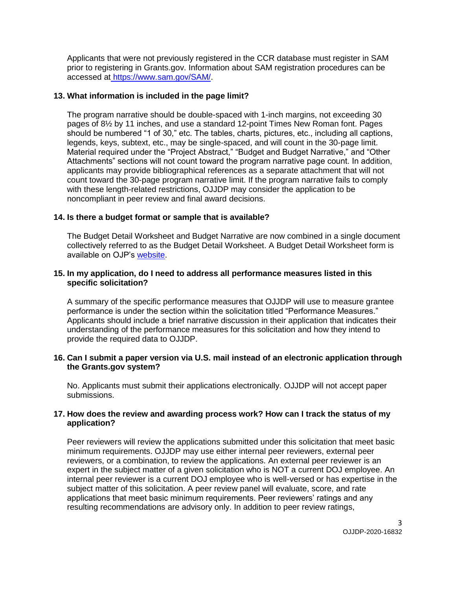Applicants that were not previously registered in the CCR database must register in SAM prior to registering in Grants.gov. Information about SAM registration procedures can be accessed at https://www.sam.gov/SAM/.

### **13. What information is included in the page limit?**

The program narrative should be double-spaced with 1-inch margins, not exceeding 30 pages of 8½ by 11 inches, and use a standard 12-point Times New Roman font. Pages should be numbered "1 of 30," etc. The tables, charts, pictures, etc., including all captions, legends, keys, subtext, etc., may be single-spaced, and will count in the 30-page limit. Material required under the "Project Abstract," "Budget and Budget Narrative," and "Other Attachments" sections will not count toward the program narrative page count. In addition, applicants may provide bibliographical references as a separate attachment that will not count toward the 30-page program narrative limit. If the program narrative fails to comply with these length-related restrictions, OJJDP may consider the application to be noncompliant in peer review and final award decisions.

# **14. Is there a budget format or sample that is available?**

The Budget Detail Worksheet and Budget Narrative are now combined in a single document collectively referred to as the Budget Detail Worksheet. A Budget Detail Worksheet form is available on OJP's [website.](https://ojp.gov/funding/Apply/Forms/BudgetDetailWorksheet.htm)

### **15. In my application, do I need to address all performance measures listed in this specific solicitation?**

A summary of the specific performance measures that OJJDP will use to measure grantee performance is under the section within the solicitation titled "Performance Measures." Applicants should include a brief narrative discussion in their application that indicates their understanding of the performance measures for this solicitation and how they intend to provide the required data to OJJDP.

### **16. Can I submit a paper version via U.S. mail instead of an electronic application through the Grants.gov system?**

No. Applicants must submit their applications electronically. OJJDP will not accept paper submissions.

### **17. How does the review and awarding process work? How can I track the status of my application?**

Peer reviewers will review the applications submitted under this solicitation that meet basic minimum requirements. OJJDP may use either internal peer reviewers, external peer reviewers, or a combination, to review the applications. An external peer reviewer is an expert in the subject matter of a given solicitation who is NOT a current DOJ employee. An internal peer reviewer is a current DOJ employee who is well-versed or has expertise in the subject matter of this solicitation. A peer review panel will evaluate, score, and rate applications that meet basic minimum requirements. Peer reviewers' ratings and any resulting recommendations are advisory only. In addition to peer review ratings,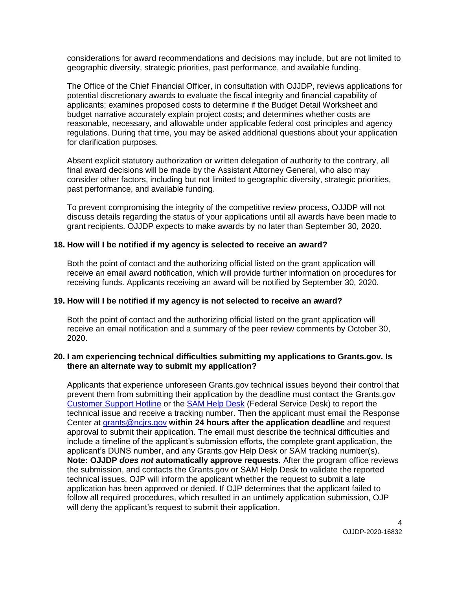considerations for award recommendations and decisions may include, but are not limited to geographic diversity, strategic priorities, past performance, and available funding.

The Office of the Chief Financial Officer, in consultation with OJJDP, reviews applications for potential discretionary awards to evaluate the fiscal integrity and financial capability of applicants; examines proposed costs to determine if the Budget Detail Worksheet and budget narrative accurately explain project costs; and determines whether costs are reasonable, necessary, and allowable under applicable federal cost principles and agency regulations. During that time, you may be asked additional questions about your application for clarification purposes.

Absent explicit statutory authorization or written delegation of authority to the contrary, all final award decisions will be made by the Assistant Attorney General, who also may consider other factors, including but not limited to geographic diversity, strategic priorities, past performance, and available funding.

To prevent compromising the integrity of the competitive review process, OJJDP will not discuss details regarding the status of your applications until all awards have been made to grant recipients. OJJDP expects to make awards by no later than September 30, 2020.

#### **18. How will I be notified if my agency is selected to receive an award?**

Both the point of contact and the authorizing official listed on the grant application will receive an email award notification, which will provide further information on procedures for receiving funds. Applicants receiving an award will be notified by September 30, 2020.

### **19. How will I be notified if my agency is not selected to receive an award?**

Both the point of contact and the authorizing official listed on the grant application will receive an email notification and a summary of the peer review comments by October 30, 2020.

#### **20. I am experiencing technical difficulties submitting my applications to Grants.gov. Is there an alternate way to submit my application?**

Applicants that experience unforeseen Grants.gov technical issues beyond their control that prevent them from submitting their application by the deadline must contact the Grants.gov [Customer Support Hotline](http://www.grants.gov/web/grants/support.html) or the [SAM Help Desk](https://www.fsd.gov/fsd-gov/home.do) (Federal Service Desk) to report the technical issue and receive a tracking number. Then the applicant must email the Response Center at [grants@ncjrs.gov](mailto:grants@ncjrs.gov) **within 24 hours after the application deadline** and request approval to submit their application. The email must describe the technical difficulties and include a timeline of the applicant's submission efforts, the complete grant application, the applicant's DUNS number, and any Grants.gov Help Desk or SAM tracking number(s). **Note: OJJDP** *does not* **automatically approve requests***.* After the program office reviews the submission, and contacts the Grants.gov or SAM Help Desk to validate the reported technical issues, OJP will inform the applicant whether the request to submit a late application has been approved or denied. If OJP determines that the applicant failed to follow all required procedures, which resulted in an untimely application submission, OJP will deny the applicant's request to submit their application.